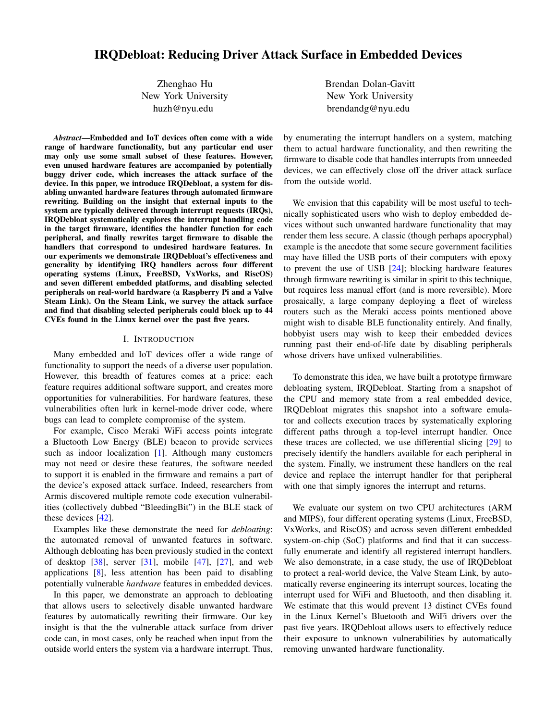# IRQDebloat: Reducing Driver Attack Surface in Embedded Devices

Zhenghao Hu New York University huzh@nyu.edu

*Abstract*—Embedded and IoT devices often come with a wide range of hardware functionality, but any particular end user may only use some small subset of these features. However, even unused hardware features are accompanied by potentially buggy driver code, which increases the attack surface of the device. In this paper, we introduce IRQDebloat, a system for disabling unwanted hardware features through automated firmware rewriting. Building on the insight that external inputs to the system are typically delivered through interrupt requests (IRQs), IRQDebloat systematically explores the interrupt handling code in the target firmware, identifies the handler function for each peripheral, and finally rewrites target firmware to disable the handlers that correspond to undesired hardware features. In our experiments we demonstrate IRQDebloat's effectiveness and generality by identifying IRQ handlers across four different operating systems (Linux, FreeBSD, VxWorks, and RiscOS) and seven different embedded platforms, and disabling selected peripherals on real-world hardware (a Raspberry Pi and a Valve Steam Link). On the Steam Link, we survey the attack surface and find that disabling selected peripherals could block up to 44 CVEs found in the Linux kernel over the past five years.

# I. INTRODUCTION

Many embedded and IoT devices offer a wide range of functionality to support the needs of a diverse user population. However, this breadth of features comes at a price: each feature requires additional software support, and creates more opportunities for vulnerabilities. For hardware features, these vulnerabilities often lurk in kernel-mode driver code, where bugs can lead to complete compromise of the system.

For example, Cisco Meraki WiFi access points integrate a Bluetooth Low Energy (BLE) beacon to provide services such as indoor localization [\[1\]](#page-13-0). Although many customers may not need or desire these features, the software needed to support it is enabled in the firmware and remains a part of the device's exposed attack surface. Indeed, researchers from Armis discovered multiple remote code execution vulnerabilities (collectively dubbed "BleedingBit") in the BLE stack of these devices [\[42\]](#page-13-1).

Examples like these demonstrate the need for *debloating*: the automated removal of unwanted features in software. Although debloating has been previously studied in the context of desktop  $\lceil 38 \rceil$ , server  $\lceil 31 \rceil$ , mobile  $\lceil 47 \rceil$ ,  $\lceil 27 \rceil$ , and web applications [\[8\]](#page-13-5), less attention has been paid to disabling potentially vulnerable *hardware* features in embedded devices.

In this paper, we demonstrate an approach to debloating that allows users to selectively disable unwanted hardware features by automatically rewriting their firmware. Our key insight is that the the vulnerable attack surface from driver code can, in most cases, only be reached when input from the outside world enters the system via a hardware interrupt. Thus, Brendan Dolan-Gavitt New York University brendandg@nyu.edu

by enumerating the interrupt handlers on a system, matching them to actual hardware functionality, and then rewriting the firmware to disable code that handles interrupts from unneeded devices, we can effectively close off the driver attack surface from the outside world.

We envision that this capability will be most useful to technically sophisticated users who wish to deploy embedded devices without such unwanted hardware functionality that may render them less secure. A classic (though perhaps apocryphal) example is the anecdote that some secure government facilities may have filled the USB ports of their computers with epoxy to prevent the use of USB [\[24\]](#page-13-6); blocking hardware features through firmware rewriting is similar in spirit to this technique, but requires less manual effort (and is more reversible). More prosaically, a large company deploying a fleet of wireless routers such as the Meraki access points mentioned above might wish to disable BLE functionality entirely. And finally, hobbyist users may wish to keep their embedded devices running past their end-of-life date by disabling peripherals whose drivers have unfixed vulnerabilities.

To demonstrate this idea, we have built a prototype firmware debloating system, IRQDebloat. Starting from a snapshot of the CPU and memory state from a real embedded device, IRQDebloat migrates this snapshot into a software emulator and collects execution traces by systematically exploring different paths through a top-level interrupt handler. Once these traces are collected, we use differential slicing [\[29\]](#page-13-7) to precisely identify the handlers available for each peripheral in the system. Finally, we instrument these handlers on the real device and replace the interrupt handler for that peripheral with one that simply ignores the interrupt and returns.

We evaluate our system on two CPU architectures (ARM and MIPS), four different operating systems (Linux, FreeBSD, VxWorks, and RiscOS) and across seven different embedded system-on-chip (SoC) platforms and find that it can successfully enumerate and identify all registered interrupt handlers. We also demonstrate, in a case study, the use of IRQDebloat to protect a real-world device, the Valve Steam Link, by automatically reverse engineering its interrupt sources, locating the interrupt used for WiFi and Bluetooth, and then disabling it. We estimate that this would prevent 13 distinct CVEs found in the Linux Kernel's Bluetooth and WiFi drivers over the past five years. IRQDebloat allows users to effectively reduce their exposure to unknown vulnerabilities by automatically removing unwanted hardware functionality.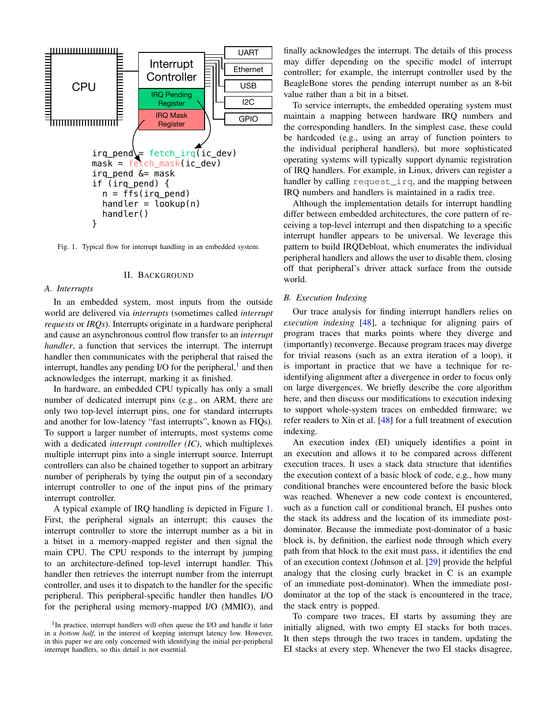

<span id="page-1-1"></span>Fig. 1. Typical flow for interrupt handling in an embedded system.

#### II. BACKGROUND

#### *A. Interrupts*

In an embedded system, most inputs from the outside world are delivered via *interrupts* (sometimes called *interrupt requests* or *IRQs*). Interrupts originate in a hardware peripheral and cause an asynchronous control flow transfer to an *interrupt handler*, a function that services the interrupt. The interrupt handler then communicates with the peripheral that raised the interrupt, handles any pending I/O for the peripheral,<sup>[1](#page-1-0)</sup> and then acknowledges the interrupt, marking it as finished.

In hardware, an embedded CPU typically has only a small number of dedicated interrupt pins (e.g., on ARM, there are only two top-level interrupt pins, one for standard interrupts and another for low-latency "fast interrupts", known as FIQs). To support a larger number of interrupts, most systems come with a dedicated *interrupt controller (IC)*, which multiplexes multiple interrupt pins into a single interrupt source. Interrupt controllers can also be chained together to support an arbitrary number of peripherals by tying the output pin of a secondary interrupt controller to one of the input pins of the primary interrupt controller.

A typical example of IRQ handling is depicted in Figure [1.](#page-1-1) First, the peripheral signals an interrupt; this causes the interrupt controller to store the interrupt number as a bit in a bitset in a memory-mapped register and then signal the main CPU. The CPU responds to the interrupt by jumping to an architecture-defined top-level interrupt handler. This handler then retrieves the interrupt number from the interrupt controller, and uses it to dispatch to the handler for the specific peripheral. This peripheral-specific handler then handles I/O for the peripheral using memory-mapped I/O (MMIO), and finally acknowledges the interrupt. The details of this process may differ depending on the specific model of interrupt controller; for example, the interrupt controller used by the BeagleBone stores the pending interrupt number as an 8-bit value rather than a bit in a bitset.

To service interrupts, the embedded operating system must maintain a mapping between hardware IRQ numbers and the corresponding handlers. In the simplest case, these could be hardcoded (e.g., using an array of function pointers to the individual peripheral handlers), but more sophisticated operating systems will typically support dynamic registration of IRQ handlers. For example, in Linux, drivers can register a handler by calling request irq, and the mapping between IRQ numbers and handlers is maintained in a radix tree.

Although the implementation details for interrupt handling differ between embedded architectures, the core pattern of receiving a top-level interrupt and then dispatching to a specific interrupt handler appears to be universal. We leverage this pattern to build IRQDebloat, which enumerates the individual peripheral handlers and allows the user to disable them, closing off that peripheral's driver attack surface from the outside world.

#### <span id="page-1-2"></span>*B. Execution Indexing*

Our trace analysis for finding interrupt handlers relies on *execution indexing* [\[48\]](#page-14-1), a technique for aligning pairs of program traces that marks points where they diverge and (importantly) reconverge. Because program traces may diverge for trivial reasons (such as an extra iteration of a loop), it is important in practice that we have a technique for reidentifying alignment after a divergence in order to focus only on large divergences. We briefly describe the core algorithm here, and then discuss our modifications to execution indexing to support whole-system traces on embedded firmware; we refer readers to Xin et al. [\[48\]](#page-14-1) for a full treatment of execution indexing.

An execution index (EI) uniquely identifies a point in an execution and allows it to be compared across different execution traces. It uses a stack data structure that identifies the execution context of a basic block of code, e.g., how many conditional branches were encountered before the basic block was reached. Whenever a new code context is encountered, such as a function call or conditional branch, EI pushes onto the stack its address and the location of its immediate postdominator. Because the immediate post-dominator of a basic block is, by definition, the earliest node through which every path from that block to the exit must pass, it identifies the end of an execution context (Johnson et al. [\[29\]](#page-13-7) provide the helpful analogy that the closing curly bracket in C is an example of an immediate post-dominator). When the immediate postdominator at the top of the stack is encountered in the trace, the stack entry is popped.

To compare two traces, EI starts by assuming they are initially aligned, with two empty EI stacks for both traces. It then steps through the two traces in tandem, updating the EI stacks at every step. Whenever the two EI stacks disagree,

<span id="page-1-0"></span><sup>&</sup>lt;sup>1</sup>In practice, interrupt handlers will often queue the I/O and handle it later in a *bottom half*, in the interest of keeping interrupt latency low. However, in this paper we are only concerned with identifying the initial per-peripheral interrupt handlers, so this detail is not essential.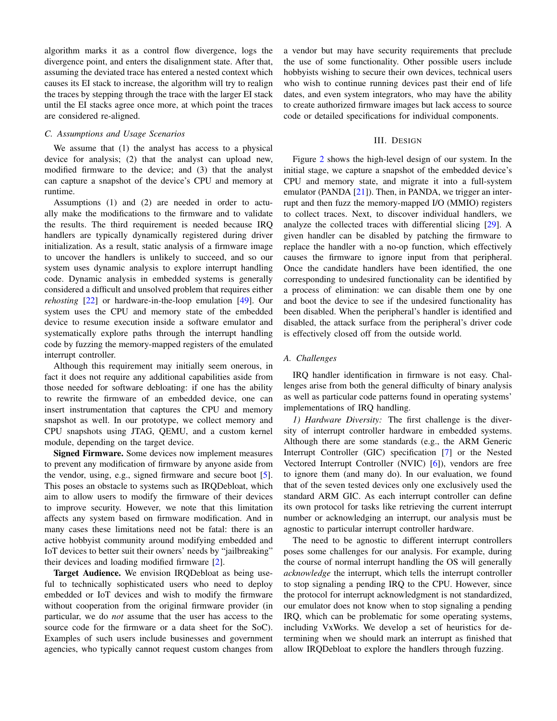algorithm marks it as a control flow divergence, logs the divergence point, and enters the disalignment state. After that, assuming the deviated trace has entered a nested context which causes its EI stack to increase, the algorithm will try to realign the traces by stepping through the trace with the larger EI stack until the EI stacks agree once more, at which point the traces are considered re-aligned.

# *C. Assumptions and Usage Scenarios*

We assume that (1) the analyst has access to a physical device for analysis; (2) that the analyst can upload new, modified firmware to the device; and (3) that the analyst can capture a snapshot of the device's CPU and memory at runtime.

Assumptions (1) and (2) are needed in order to actually make the modifications to the firmware and to validate the results. The third requirement is needed because IRQ handlers are typically dynamically registered during driver initialization. As a result, static analysis of a firmware image to uncover the handlers is unlikely to succeed, and so our system uses dynamic analysis to explore interrupt handling code. Dynamic analysis in embedded systems is generally considered a difficult and unsolved problem that requires either *rehosting* [\[22\]](#page-13-8) or hardware-in-the-loop emulation [\[49\]](#page-14-2). Our system uses the CPU and memory state of the embedded device to resume execution inside a software emulator and systematically explore paths through the interrupt handling code by fuzzing the memory-mapped registers of the emulated interrupt controller.

Although this requirement may initially seem onerous, in fact it does not require any additional capabilities aside from those needed for software debloating: if one has the ability to rewrite the firmware of an embedded device, one can insert instrumentation that captures the CPU and memory snapshot as well. In our prototype, we collect memory and CPU snapshots using JTAG, QEMU, and a custom kernel module, depending on the target device.

Signed Firmware. Some devices now implement measures to prevent any modification of firmware by anyone aside from the vendor, using, e.g., signed firmware and secure boot [\[5\]](#page-13-9). This poses an obstacle to systems such as IRQDebloat, which aim to allow users to modify the firmware of their devices to improve security. However, we note that this limitation affects any system based on firmware modification. And in many cases these limitations need not be fatal: there is an active hobbyist community around modifying embedded and IoT devices to better suit their owners' needs by "jailbreaking" their devices and loading modified firmware [\[2\]](#page-13-10).

Target Audience. We envision IRQDebloat as being useful to technically sophisticated users who need to deploy embedded or IoT devices and wish to modify the firmware without cooperation from the original firmware provider (in particular, we do *not* assume that the user has access to the source code for the firmware or a data sheet for the SoC). Examples of such users include businesses and government agencies, who typically cannot request custom changes from a vendor but may have security requirements that preclude the use of some functionality. Other possible users include hobbyists wishing to secure their own devices, technical users who wish to continue running devices past their end of life dates, and even system integrators, who may have the ability to create authorized firmware images but lack access to source code or detailed specifications for individual components.

# III. DESIGN

<span id="page-2-0"></span>Figure [2](#page-3-0) shows the high-level design of our system. In the initial stage, we capture a snapshot of the embedded device's CPU and memory state, and migrate it into a full-system emulator (PANDA [\[21\]](#page-13-11)). Then, in PANDA, we trigger an interrupt and then fuzz the memory-mapped I/O (MMIO) registers to collect traces. Next, to discover individual handlers, we analyze the collected traces with differential slicing [\[29\]](#page-13-7). A given handler can be disabled by patching the firmware to replace the handler with a no-op function, which effectively causes the firmware to ignore input from that peripheral. Once the candidate handlers have been identified, the one corresponding to undesired functionality can be identified by a process of elimination: we can disable them one by one and boot the device to see if the undesired functionality has been disabled. When the peripheral's handler is identified and disabled, the attack surface from the peripheral's driver code is effectively closed off from the outside world.

### *A. Challenges*

IRQ handler identification in firmware is not easy. Challenges arise from both the general difficulty of binary analysis as well as particular code patterns found in operating systems' implementations of IRQ handling.

*1) Hardware Diversity:* The first challenge is the diversity of interrupt controller hardware in embedded systems. Although there are some standards (e.g., the ARM Generic Interrupt Controller (GIC) specification [\[7\]](#page-13-12) or the Nested Vectored Interrupt Controller (NVIC) [\[6\]](#page-13-13)), vendors are free to ignore them (and many do). In our evaluation, we found that of the seven tested devices only one exclusively used the standard ARM GIC. As each interrupt controller can define its own protocol for tasks like retrieving the current interrupt number or acknowledging an interrupt, our analysis must be agnostic to particular interrupt controller hardware.

The need to be agnostic to different interrupt controllers poses some challenges for our analysis. For example, during the course of normal interrupt handling the OS will generally *acknowledge* the interrupt, which tells the interrupt controller to stop signaling a pending IRQ to the CPU. However, since the protocol for interrupt acknowledgment is not standardized, our emulator does not know when to stop signaling a pending IRQ, which can be problematic for some operating systems, including VxWorks. We develop a set of heuristics for determining when we should mark an interrupt as finished that allow IRQDebloat to explore the handlers through fuzzing.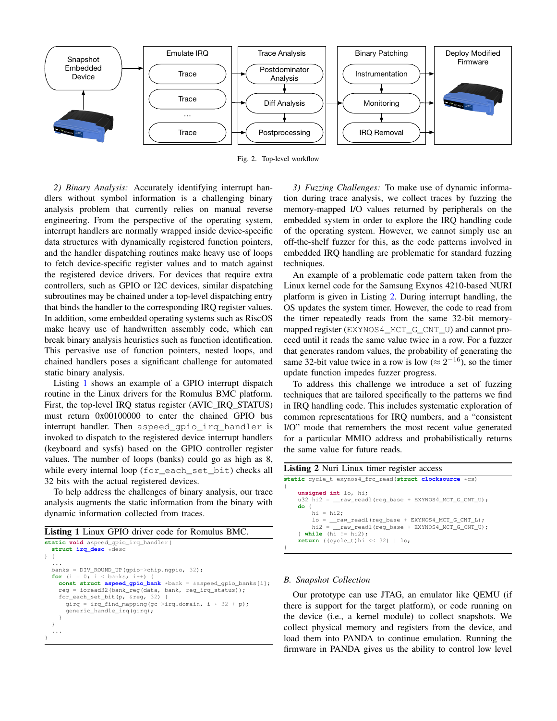

<span id="page-3-0"></span>Fig. 2. Top-level workflow

*2) Binary Analysis:* Accurately identifying interrupt handlers without symbol information is a challenging binary analysis problem that currently relies on manual reverse engineering. From the perspective of the operating system, interrupt handlers are normally wrapped inside device-specific data structures with dynamically registered function pointers, and the handler dispatching routines make heavy use of loops to fetch device-specific register values and to match against the registered device drivers. For devices that require extra controllers, such as GPIO or I2C devices, similar dispatching subroutines may be chained under a top-level dispatching entry that binds the handler to the corresponding IRQ register values. In addition, some embedded operating systems such as RiscOS make heavy use of handwritten assembly code, which can break binary analysis heuristics such as function identification. This pervasive use of function pointers, nested loops, and chained handlers poses a significant challenge for automated static binary analysis.

Listing [1](#page-3-1) shows an example of a GPIO interrupt dispatch routine in the Linux drivers for the Romulus BMC platform. First, the top-level IRQ status register (AVIC\_IRQ\_STATUS) must return 0x00100000 to enter the chained GPIO bus interrupt handler. Then aspeed gpio irq handler is invoked to dispatch to the registered device interrupt handlers (keyboard and sysfs) based on the GPIO controller register values. The number of loops (banks) could go as high as 8, while every internal loop (for\_each\_set\_bit) checks all 32 bits with the actual registered devices.

To help address the challenges of binary analysis, our trace analysis augments the static information from the binary with dynamic information collected from traces.

<span id="page-3-1"></span>Listing 1 Linux GPIO driver code for Romulus BMC.

```
static void aspeed_gpio_irq_handler(
  struct irq_desc *desc
 \left\{ \right....
banks = DIV_ROUND_UP(gpio->chip.ngpio, 32);
  for (i = 0; i < banks; i++) {
    const struct aspeed_gpio_bank *bank = &aspeed_gpio_banks[i];
    reg = ioread32(bank_reg(data, bank, reg_irq_status));
    for_each_set_bit(p, &reg, 32) {
      girg = irg find mapping(gc->irg.domain, i * 32 + p);
      generic_handle_irq(girq);
    }
  }
  ...
}
```
*3) Fuzzing Challenges:* To make use of dynamic information during trace analysis, we collect traces by fuzzing the memory-mapped I/O values returned by peripherals on the embedded system in order to explore the IRQ handling code of the operating system. However, we cannot simply use an off-the-shelf fuzzer for this, as the code patterns involved in embedded IRQ handling are problematic for standard fuzzing techniques.

An example of a problematic code pattern taken from the Linux kernel code for the Samsung Exynos 4210-based NURI platform is given in Listing [2.](#page-3-2) During interrupt handling, the OS updates the system timer. However, the code to read from the timer repeatedly reads from the same 32-bit memorymapped register (EXYNOS4\_MCT\_G\_CNT\_U) and cannot proceed until it reads the same value twice in a row. For a fuzzer that generates random values, the probability of generating the same 32-bit value twice in a row is low ( $\approx 2^{-16}$ ), so the timer update function impedes fuzzer progress.

To address this challenge we introduce a set of fuzzing techniques that are tailored specifically to the patterns we find in IRQ handling code. This includes systematic exploration of common representations for IRQ numbers, and a "consistent I/O" mode that remembers the most recent value generated for a particular MMIO address and probabilistically returns the same value for future reads.

<span id="page-3-2"></span>

| <b>Listing 2</b> Nuri Linux timer register access       |  |
|---------------------------------------------------------|--|
| static cycle_t exynos4_frc_read(struct clocksource *cs) |  |
| unsigned int lo, hi;                                    |  |
| u32 hi2 = raw readl(req base + EXYNOS4 MCT G CNT U);    |  |
| $do \in$                                                |  |
| $hi = hi2;$                                             |  |
| $lo = raw readl (req base + EXYNOS4 MCT G CNT L);$      |  |
| hi2 = raw readl (req base + EXYNOS4 MCT G CNT U);       |  |
| $\}$ while (hi $!=$ hi2);                               |  |
| <b>return</b> ((cycle_t)hi << 32)   10;                 |  |
|                                                         |  |

#### *B. Snapshot Collection*

Our prototype can use JTAG, an emulator like QEMU (if there is support for the target platform), or code running on the device (i.e., a kernel module) to collect snapshots. We collect physical memory and registers from the device, and load them into PANDA to continue emulation. Running the firmware in PANDA gives us the ability to control low level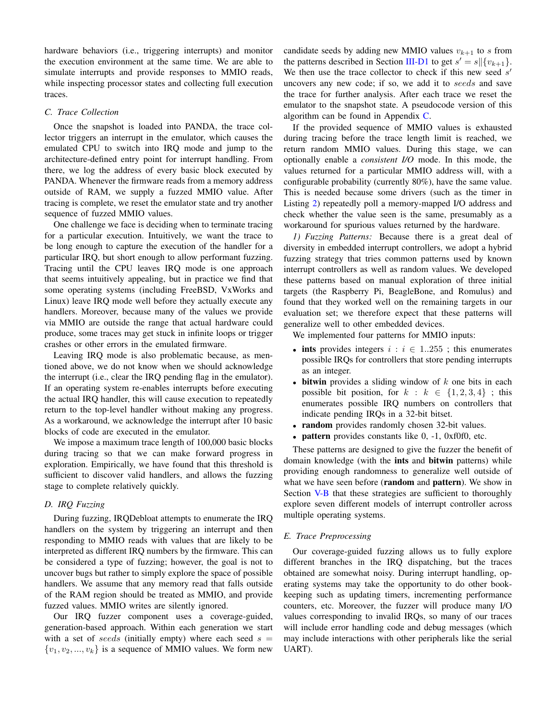hardware behaviors (i.e., triggering interrupts) and monitor the execution environment at the same time. We are able to simulate interrupts and provide responses to MMIO reads, while inspecting processor states and collecting full execution traces.

#### *C. Trace Collection*

Once the snapshot is loaded into PANDA, the trace collector triggers an interrupt in the emulator, which causes the emulated CPU to switch into IRQ mode and jump to the architecture-defined entry point for interrupt handling. From there, we log the address of every basic block executed by PANDA. Whenever the firmware reads from a memory address outside of RAM, we supply a fuzzed MMIO value. After tracing is complete, we reset the emulator state and try another sequence of fuzzed MMIO values.

One challenge we face is deciding when to terminate tracing for a particular execution. Intuitively, we want the trace to be long enough to capture the execution of the handler for a particular IRQ, but short enough to allow performant fuzzing. Tracing until the CPU leaves IRQ mode is one approach that seems intuitively appealing, but in practice we find that some operating systems (including FreeBSD, VxWorks and Linux) leave IRQ mode well before they actually execute any handlers. Moreover, because many of the values we provide via MMIO are outside the range that actual hardware could produce, some traces may get stuck in infinite loops or trigger crashes or other errors in the emulated firmware.

Leaving IRQ mode is also problematic because, as mentioned above, we do not know when we should acknowledge the interrupt (i.e., clear the IRQ pending flag in the emulator). If an operating system re-enables interrupts before executing the actual IRQ handler, this will cause execution to repeatedly return to the top-level handler without making any progress. As a workaround, we acknowledge the interrupt after 10 basic blocks of code are executed in the emulator.

We impose a maximum trace length of 100,000 basic blocks during tracing so that we can make forward progress in exploration. Empirically, we have found that this threshold is sufficient to discover valid handlers, and allows the fuzzing stage to complete relatively quickly.

# *D. IRQ Fuzzing*

During fuzzing, IRQDebloat attempts to enumerate the IRQ handlers on the system by triggering an interrupt and then responding to MMIO reads with values that are likely to be interpreted as different IRQ numbers by the firmware. This can be considered a type of fuzzing; however, the goal is not to uncover bugs but rather to simply explore the space of possible handlers. We assume that any memory read that falls outside of the RAM region should be treated as MMIO, and provide fuzzed values. MMIO writes are silently ignored.

Our IRQ fuzzer component uses a coverage-guided, generation-based approach. Within each generation we start with a set of seeds (initially empty) where each seed  $s =$  $\{v_1, v_2, ..., v_k\}$  is a sequence of MMIO values. We form new candidate seeds by adding new MMIO values  $v_{k+1}$  to s from the patterns described in Section [III-D1](#page-4-0) to get  $s' = s \|\{v_{k+1}\}.$ We then use the trace collector to check if this new seed  $s'$ uncovers any new code; if so, we add it to seeds and save the trace for further analysis. After each trace we reset the emulator to the snapshot state. A pseudocode version of this algorithm can be found in Appendix [C.](#page-14-3)

If the provided sequence of MMIO values is exhausted during tracing before the trace length limit is reached, we return random MMIO values. During this stage, we can optionally enable a *consistent I/O* mode. In this mode, the values returned for a particular MMIO address will, with a configurable probability (currently 80%), have the same value. This is needed because some drivers (such as the timer in Listing [2\)](#page-3-2) repeatedly poll a memory-mapped I/O address and check whether the value seen is the same, presumably as a workaround for spurious values returned by the hardware.

<span id="page-4-0"></span>*1) Fuzzing Patterns:* Because there is a great deal of diversity in embedded interrupt controllers, we adopt a hybrid fuzzing strategy that tries common patterns used by known interrupt controllers as well as random values. We developed these patterns based on manual exploration of three initial targets (the Raspberry Pi, BeagleBone, and Romulus) and found that they worked well on the remaining targets in our evaluation set; we therefore expect that these patterns will generalize well to other embedded devices.

We implemented four patterns for MMIO inputs:

- ints provides integers  $i : i \in 1..255$ ; this enumerates possible IRQs for controllers that store pending interrupts as an integer.
- bitwin provides a sliding window of  $k$  one bits in each possible bit position, for  $k : k \in \{1, 2, 3, 4\}$ ; this enumerates possible IRQ numbers on controllers that indicate pending IRQs in a 32-bit bitset.
- random provides randomly chosen 32-bit values.
- pattern provides constants like 0, -1, 0xf0f0, etc.

These patterns are designed to give the fuzzer the benefit of domain knowledge (with the **ints** and **bitwin** patterns) while providing enough randomness to generalize well outside of what we have seen before (**random** and **pattern**). We show in Section [V-B](#page-9-0) that these strategies are sufficient to thoroughly explore seven different models of interrupt controller across multiple operating systems.

## <span id="page-4-1"></span>*E. Trace Preprocessing*

Our coverage-guided fuzzing allows us to fully explore different branches in the IRQ dispatching, but the traces obtained are somewhat noisy. During interrupt handling, operating systems may take the opportunity to do other bookkeeping such as updating timers, incrementing performance counters, etc. Moreover, the fuzzer will produce many I/O values corresponding to invalid IRQs, so many of our traces will include error handling code and debug messages (which may include interactions with other peripherals like the serial UART).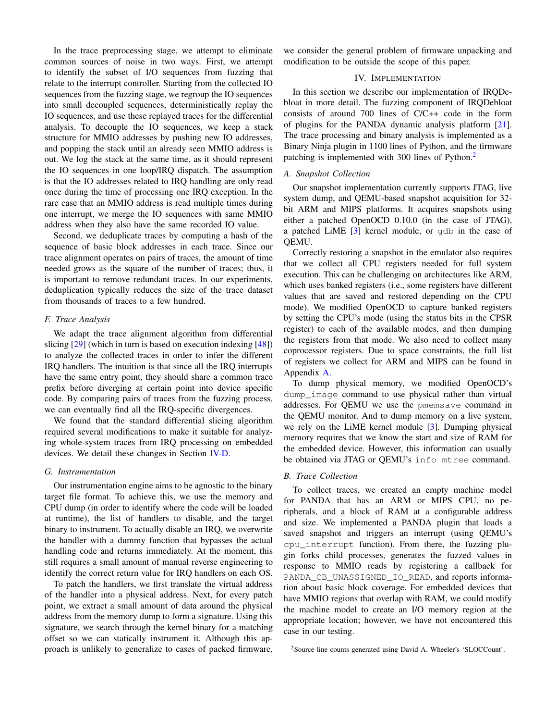In the trace preprocessing stage, we attempt to eliminate common sources of noise in two ways. First, we attempt to identify the subset of I/O sequences from fuzzing that relate to the interrupt controller. Starting from the collected IO sequences from the fuzzing stage, we regroup the IO sequences into small decoupled sequences, deterministically replay the IO sequences, and use these replayed traces for the differential analysis. To decouple the IO sequences, we keep a stack structure for MMIO addresses by pushing new IO addresses, and popping the stack until an already seen MMIO address is out. We log the stack at the same time, as it should represent the IO sequences in one loop/IRQ dispatch. The assumption is that the IO addresses related to IRQ handling are only read once during the time of processing one IRQ exception. In the rare case that an MMIO address is read multiple times during one interrupt, we merge the IO sequences with same MMIO address when they also have the same recorded IO value.

Second, we deduplicate traces by computing a hash of the sequence of basic block addresses in each trace. Since our trace alignment operates on pairs of traces, the amount of time needed grows as the square of the number of traces; thus, it is important to remove redundant traces. In our experiments, deduplication typically reduces the size of the trace dataset from thousands of traces to a few hundred.

# *F. Trace Analysis*

We adapt the trace alignment algorithm from differential slicing [\[29\]](#page-13-7) (which in turn is based on execution indexing [\[48\]](#page-14-1)) to analyze the collected traces in order to infer the different IRQ handlers. The intuition is that since all the IRQ interrupts have the same entry point, they should share a common trace prefix before diverging at certain point into device specific code. By comparing pairs of traces from the fuzzing process, we can eventually find all the IRQ-specific divergences.

We found that the standard differential slicing algorithm required several modifications to make it suitable for analyzing whole-system traces from IRQ processing on embedded devices. We detail these changes in Section [IV-D.](#page-6-0)

# *G. Instrumentation*

Our instrumentation engine aims to be agnostic to the binary target file format. To achieve this, we use the memory and CPU dump (in order to identify where the code will be loaded at runtime), the list of handlers to disable, and the target binary to instrument. To actually disable an IRQ, we overwrite the handler with a dummy function that bypasses the actual handling code and returns immediately. At the moment, this still requires a small amount of manual reverse engineering to identify the correct return value for IRQ handlers on each OS.

To patch the handlers, we first translate the virtual address of the handler into a physical address. Next, for every patch point, we extract a small amount of data around the physical address from the memory dump to form a signature. Using this signature, we search through the kernel binary for a matching offset so we can statically instrument it. Although this approach is unlikely to generalize to cases of packed firmware,

we consider the general problem of firmware unpacking and modification to be outside the scope of this paper.

#### IV. IMPLEMENTATION

In this section we describe our implementation of IRQDebloat in more detail. The fuzzing component of IRQDebloat consists of around 700 lines of C/C++ code in the form of plugins for the PANDA dynamic analysis platform [\[21\]](#page-13-11). The trace processing and binary analysis is implemented as a Binary Ninja plugin in 1100 lines of Python, and the firmware patching is implemented with 300 lines of Python.<sup>[2](#page-5-0)</sup>

# *A. Snapshot Collection*

Our snapshot implementation currently supports JTAG, live system dump, and QEMU-based snapshot acquisition for 32 bit ARM and MIPS platforms. It acquires snapshots using either a patched OpenOCD 0.10.0 (in the case of JTAG), a patched LiME [\[3\]](#page-13-14) kernel module, or qdb in the case of QEMU.

Correctly restoring a snapshot in the emulator also requires that we collect all CPU registers needed for full system execution. This can be challenging on architectures like ARM, which uses banked registers (i.e., some registers have different values that are saved and restored depending on the CPU mode). We modified OpenOCD to capture banked registers by setting the CPU's mode (using the status bits in the CPSR register) to each of the available modes, and then dumping the registers from that mode. We also need to collect many coprocessor registers. Due to space constraints, the full list of registers we collect for ARM and MIPS can be found in Appendix [A.](#page-14-4)

To dump physical memory, we modified OpenOCD's dump\_image command to use physical rather than virtual addresses. For QEMU we use the pmemsave command in the QEMU monitor. And to dump memory on a live system, we rely on the LiME kernel module [\[3\]](#page-13-14). Dumping physical memory requires that we know the start and size of RAM for the embedded device. However, this information can usually be obtained via JTAG or QEMU's info mtree command.

### *B. Trace Collection*

To collect traces, we created an empty machine model for PANDA that has an ARM or MIPS CPU, no peripherals, and a block of RAM at a configurable address and size. We implemented a PANDA plugin that loads a saved snapshot and triggers an interrupt (using QEMU's cpu\_interrupt function). From there, the fuzzing plugin forks child processes, generates the fuzzed values in response to MMIO reads by registering a callback for PANDA CB\_UNASSIGNED\_IO\_READ, and reports information about basic block coverage. For embedded devices that have MMIO regions that overlap with RAM, we could modify the machine model to create an I/O memory region at the appropriate location; however, we have not encountered this case in our testing.

<span id="page-5-0"></span><sup>2</sup>Source line counts generated using David A. Wheeler's 'SLOCCount'.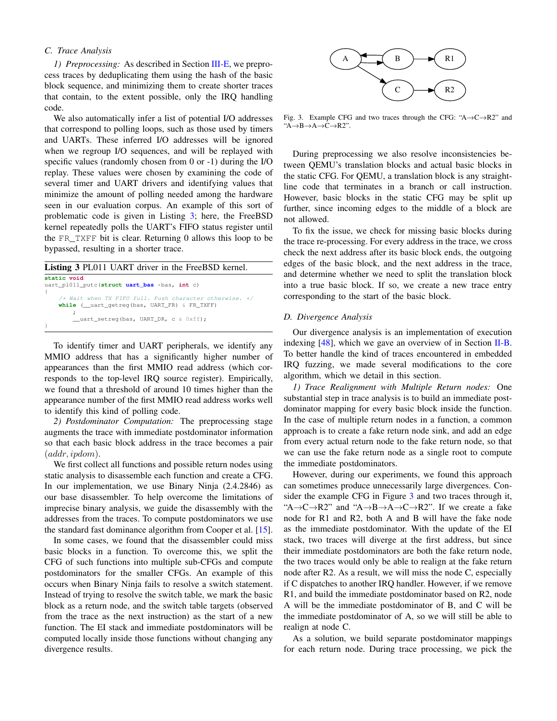# *C. Trace Analysis*

*1) Preprocessing:* As described in Section [III-E,](#page-4-1) we preprocess traces by deduplicating them using the hash of the basic block sequence, and minimizing them to create shorter traces that contain, to the extent possible, only the IRQ handling code.

We also automatically infer a list of potential I/O addresses that correspond to polling loops, such as those used by timers and UARTs. These inferred I/O addresses will be ignored when we regroup I/O sequences, and will be replayed with specific values (randomly chosen from 0 or -1) during the I/O replay. These values were chosen by examining the code of several timer and UART drivers and identifying values that minimize the amount of polling needed among the hardware seen in our evaluation corpus. An example of this sort of problematic code is given in Listing [3;](#page-6-1) here, the FreeBSD kernel repeatedly polls the UART's FIFO status register until the FR\_TXFF bit is clear. Returning 0 allows this loop to be bypassed, resulting in a shorter trace.

<span id="page-6-1"></span>

| <b>Listing 3 PL011 UART</b> driver in the FreeBSD kernel.                                                            |
|----------------------------------------------------------------------------------------------------------------------|
| static void                                                                                                          |
| uart_pl011_putc(struct uart_bas *bas, int c)                                                                         |
| $/*$ Wait when TX FIFO full. Push character otherwise. */<br><b>while</b> ( uart getreg (bas, UART FR) $\&$ FR TXFF) |
| uart setreg(bas, UART DR, c & Oxff);                                                                                 |

To identify timer and UART peripherals, we identify any MMIO address that has a significantly higher number of appearances than the first MMIO read address (which corresponds to the top-level IRQ source register). Empirically, we found that a threshold of around 10 times higher than the appearance number of the first MMIO read address works well to identify this kind of polling code.

*2) Postdominator Computation:* The preprocessing stage augments the trace with immediate postdominator information so that each basic block address in the trace becomes a pair  $(\text{addr}, \text{ipdom}).$ 

We first collect all functions and possible return nodes using static analysis to disassemble each function and create a CFG. In our implementation, we use Binary Ninja (2.4.2846) as our base disassembler. To help overcome the limitations of imprecise binary analysis, we guide the disassembly with the addresses from the traces. To compute postdominators we use the standard fast dominance algorithm from Cooper et al. [\[15\]](#page-13-15).

In some cases, we found that the disassembler could miss basic blocks in a function. To overcome this, we split the CFG of such functions into multiple sub-CFGs and compute postdominators for the smaller CFGs. An example of this occurs when Binary Ninja fails to resolve a switch statement. Instead of trying to resolve the switch table, we mark the basic block as a return node, and the switch table targets (observed from the trace as the next instruction) as the start of a new function. The EI stack and immediate postdominators will be computed locally inside those functions without changing any divergence results.



<span id="page-6-2"></span>Fig. 3. Example CFG and two traces through the CFG: " $A \rightarrow C \rightarrow R2$ " and "A→B→A→C→R2".

During preprocessing we also resolve inconsistencies between QEMU's translation blocks and actual basic blocks in the static CFG. For QEMU, a translation block is any straightline code that terminates in a branch or call instruction. However, basic blocks in the static CFG may be split up further, since incoming edges to the middle of a block are not allowed.

To fix the issue, we check for missing basic blocks during the trace re-processing. For every address in the trace, we cross check the next address after its basic block ends, the outgoing edges of the basic block, and the next address in the trace, and determine whether we need to split the translation block into a true basic block. If so, we create a new trace entry corresponding to the start of the basic block.

#### <span id="page-6-0"></span>*D. Divergence Analysis*

Our divergence analysis is an implementation of execution indexing  $[48]$ , which we gave an overview of in Section [II-B.](#page-1-2) To better handle the kind of traces encountered in embedded IRQ fuzzing, we made several modifications to the core algorithm, which we detail in this section.

*1) Trace Realignment with Multiple Return nodes:* One substantial step in trace analysis is to build an immediate postdominator mapping for every basic block inside the function. In the case of multiple return nodes in a function, a common approach is to create a fake return node sink, and add an edge from every actual return node to the fake return node, so that we can use the fake return node as a single root to compute the immediate postdominators.

However, during our experiments, we found this approach can sometimes produce unnecessarily large divergences. Consider the example CFG in Figure [3](#page-6-2) and two traces through it, "A $\rightarrow$ C $\rightarrow$ R2" and "A $\rightarrow$ B $\rightarrow$ A $\rightarrow$ C $\rightarrow$ R2". If we create a fake node for R1 and R2, both A and B will have the fake node as the immediate postdominator. With the update of the EI stack, two traces will diverge at the first address, but since their immediate postdominators are both the fake return node, the two traces would only be able to realign at the fake return node after R2. As a result, we will miss the node C, especially if C dispatches to another IRQ handler. However, if we remove R1, and build the immediate postdominator based on R2, node A will be the immediate postdominator of B, and C will be the immediate postdominator of A, so we will still be able to realign at node C.

As a solution, we build separate postdominator mappings for each return node. During trace processing, we pick the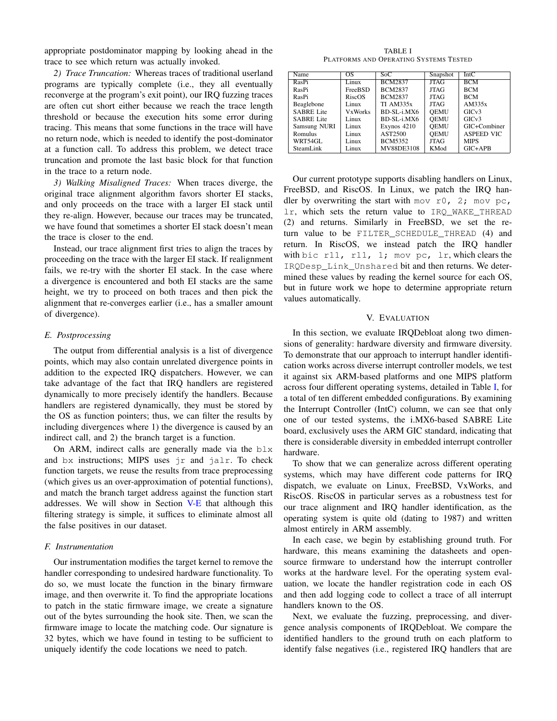appropriate postdominator mapping by looking ahead in the trace to see which return was actually invoked.

*2) Trace Truncation:* Whereas traces of traditional userland programs are typically complete (i.e., they all eventually reconverge at the program's exit point), our IRQ fuzzing traces are often cut short either because we reach the trace length threshold or because the execution hits some error during tracing. This means that some functions in the trace will have no return node, which is needed to identify the post-dominator at a function call. To address this problem, we detect trace truncation and promote the last basic block for that function in the trace to a return node.

*3) Walking Misaligned Traces:* When traces diverge, the original trace alignment algorithm favors shorter EI stacks, and only proceeds on the trace with a larger EI stack until they re-align. However, because our traces may be truncated, we have found that sometimes a shorter EI stack doesn't mean the trace is closer to the end.

Instead, our trace alignment first tries to align the traces by proceeding on the trace with the larger EI stack. If realignment fails, we re-try with the shorter EI stack. In the case where a divergence is encountered and both EI stacks are the same height, we try to proceed on both traces and then pick the alignment that re-converges earlier (i.e., has a smaller amount of divergence).

# *E. Postprocessing*

The output from differential analysis is a list of divergence points, which may also contain unrelated divergence points in addition to the expected IRQ dispatchers. However, we can take advantage of the fact that IRQ handlers are registered dynamically to more precisely identify the handlers. Because handlers are registered dynamically, they must be stored by the OS as function pointers; thus, we can filter the results by including divergences where 1) the divergence is caused by an indirect call, and 2) the branch target is a function.

On ARM, indirect calls are generally made via the  $blx$ and bx instructions; MIPS uses jr and jalr. To check function targets, we reuse the results from trace preprocessing (which gives us an over-approximation of potential functions), and match the branch target address against the function start addresses. We will show in Section [V-E](#page-9-1) that although this filtering strategy is simple, it suffices to eliminate almost all the false positives in our dataset.

## *F. Instrumentation*

Our instrumentation modifies the target kernel to remove the handler corresponding to undesired hardware functionality. To do so, we must locate the function in the binary firmware image, and then overwrite it. To find the appropriate locations to patch in the static firmware image, we create a signature out of the bytes surrounding the hook site. Then, we scan the firmware image to locate the matching code. Our signature is 32 bytes, which we have found in testing to be sufficient to uniquely identify the code locations we need to patch.

TABLE I PLATFORMS AND OPERATING SYSTEMS TESTED

<span id="page-7-0"></span>

| Name              | OS             | Soc            | Snapshot    | IntC              |
|-------------------|----------------|----------------|-------------|-------------------|
| RasPi             | Linux          | <b>BCM2837</b> | <b>JTAG</b> | <b>BCM</b>        |
| RasPi             | <b>FreeBSD</b> | <b>BCM2837</b> | <b>JTAG</b> | <b>BCM</b>        |
| RasPi             | RiscOS         | <b>BCM2837</b> | <b>JTAG</b> | <b>BCM</b>        |
| Beaglebone        | Linux          | TI AM335x      | <b>JTAG</b> | AM335x            |
| <b>SABRE Lite</b> | <b>VxWorks</b> | BD-SL-i.MX6    | <b>OEMU</b> | GICv3             |
| <b>SABRE Lite</b> | Linux          | $BD-SL-i.MX6$  | <b>OEMU</b> | GICv3             |
| Samsung NURI      | Linux          | Exynos 4210    | <b>OEMU</b> | GIC+Combiner      |
| Romulus           | Linux          | AST2500        | <b>OEMU</b> | <b>ASPEED VIC</b> |
| WRT54GL           | Linux          | <b>BCM5352</b> | JTAG        | <b>MIPS</b>       |
| SteamLink         | Linux          | MV88DE3108     | KMod        | $GIC+APB$         |

Our current prototype supports disabling handlers on Linux, FreeBSD, and RiscOS. In Linux, we patch the IRQ handler by overwriting the start with mov  $r0$ , 2; mov pc, lr, which sets the return value to IRQ\_WAKE\_THREAD (2) and returns. Similarly in FreeBSD, we set the return value to be FILTER\_SCHEDULE\_THREAD (4) and return. In RiscOS, we instead patch the IRQ handler with bic r11, r11, 1; mov pc, 1r, which clears the IRQDesp\_Link\_Unshared bit and then returns. We determined these values by reading the kernel source for each OS, but in future work we hope to determine appropriate return values automatically.

### V. EVALUATION

In this section, we evaluate IRQDebloat along two dimensions of generality: hardware diversity and firmware diversity. To demonstrate that our approach to interrupt handler identification works across diverse interrupt controller models, we test it against six ARM-based platforms and one MIPS platform across four different operating systems, detailed in Table [I,](#page-7-0) for a total of ten different embedded configurations. By examining the Interrupt Controller (IntC) column, we can see that only one of our tested systems, the i.MX6-based SABRE Lite board, exclusively uses the ARM GIC standard, indicating that there is considerable diversity in embedded interrupt controller hardware.

To show that we can generalize across different operating systems, which may have different code patterns for IRQ dispatch, we evaluate on Linux, FreeBSD, VxWorks, and RiscOS. RiscOS in particular serves as a robustness test for our trace alignment and IRQ handler identification, as the operating system is quite old (dating to 1987) and written almost entirely in ARM assembly.

In each case, we begin by establishing ground truth. For hardware, this means examining the datasheets and opensource firmware to understand how the interrupt controller works at the hardware level. For the operating system evaluation, we locate the handler registration code in each OS and then add logging code to collect a trace of all interrupt handlers known to the OS.

Next, we evaluate the fuzzing, preprocessing, and divergence analysis components of IRQDebloat. We compare the identified handlers to the ground truth on each platform to identify false negatives (i.e., registered IRQ handlers that are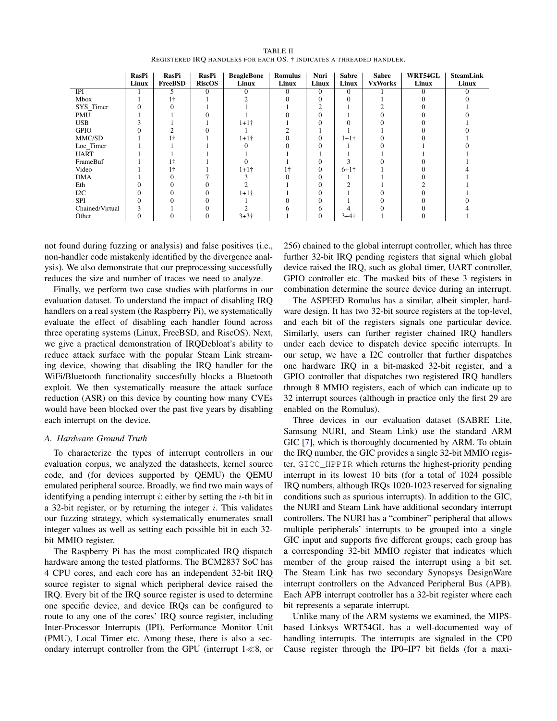| <b>TABLE II</b>                                                      |  |
|----------------------------------------------------------------------|--|
| REGISTERED IRO HANDLERS FOR EACH OS. † INDICATES A THREADED HANDLER. |  |

<span id="page-8-0"></span>

|                 | RasPi<br>Linux | RasPi<br>FreeBSD | RasPi<br><b>RiscOS</b> | <b>BeagleBone</b><br>Linux | <b>Romulus</b><br>Linux | Nuri<br>Linux | Sabre<br>Linux                        | <b>Sabre</b><br><b>VxWorks</b> | WRT54GL<br>Linux | <b>SteamLink</b><br>Linux |
|-----------------|----------------|------------------|------------------------|----------------------------|-------------------------|---------------|---------------------------------------|--------------------------------|------------------|---------------------------|
| IPI             |                | 5                | $\Omega$               |                            | $\Omega$                | $\Omega$      | $\Omega$                              |                                |                  | $\Omega$                  |
| Mbox            |                |                  |                        |                            |                         |               |                                       |                                |                  |                           |
| SYS_Timer       |                |                  |                        |                            |                         |               |                                       |                                |                  |                           |
| <b>PMU</b>      |                |                  |                        |                            |                         |               |                                       |                                |                  |                           |
| <b>USB</b>      |                |                  |                        | $1+1+$                     |                         |               |                                       |                                |                  |                           |
| <b>GPIO</b>     |                |                  |                        |                            |                         |               |                                       |                                |                  |                           |
| MMC/SD          |                |                  |                        | $1+1+$                     |                         | $\Omega$      | $1+1+$                                |                                |                  |                           |
| Loc_Timer       |                |                  |                        |                            |                         |               |                                       |                                |                  |                           |
| <b>UART</b>     |                |                  |                        |                            |                         |               |                                       |                                |                  |                           |
| FrameBuf        |                |                  |                        |                            |                         |               |                                       |                                |                  |                           |
| Video           |                | ۱÷               |                        | $1 + 1 +$                  | ١÷                      | 0             | $6+1$ <sup><math>\dagger</math></sup> |                                |                  |                           |
| <b>DMA</b>      |                |                  |                        |                            |                         |               |                                       |                                |                  |                           |
| Eth             |                |                  |                        |                            |                         |               |                                       |                                |                  |                           |
| $_{\rm I2C}$    |                |                  |                        | $1 + 1 +$                  |                         |               |                                       |                                |                  |                           |
| SPI             |                |                  |                        |                            |                         |               |                                       |                                |                  |                           |
| Chained/Virtual | 3              |                  |                        |                            |                         | 6             |                                       |                                |                  |                           |
| Other           | 0              |                  | 0                      | $3 + 3 +$                  |                         | $\Omega$      | $3+4+$                                |                                |                  |                           |

not found during fuzzing or analysis) and false positives (i.e., non-handler code mistakenly identified by the divergence analysis). We also demonstrate that our preprocessing successfully reduces the size and number of traces we need to analyze.

Finally, we perform two case studies with platforms in our evaluation dataset. To understand the impact of disabling IRQ handlers on a real system (the Raspberry Pi), we systematically evaluate the effect of disabling each handler found across three operating systems (Linux, FreeBSD, and RiscOS). Next, we give a practical demonstration of IRQDebloat's ability to reduce attack surface with the popular Steam Link streaming device, showing that disabling the IRQ handler for the WiFi/Bluetooth functionality succesfully blocks a Bluetooth exploit. We then systematically measure the attack surface reduction (ASR) on this device by counting how many CVEs would have been blocked over the past five years by disabling each interrupt on the device.

# *A. Hardware Ground Truth*

To characterize the types of interrupt controllers in our evaluation corpus, we analyzed the datasheets, kernel source code, and (for devices supported by QEMU) the QEMU emulated peripheral source. Broadly, we find two main ways of identifying a pending interrupt i: either by setting the  $i$ -th bit in a 32-bit register, or by returning the integer  $i$ . This validates our fuzzing strategy, which systematically enumerates small integer values as well as setting each possible bit in each 32 bit MMIO register.

The Raspberry Pi has the most complicated IRQ dispatch hardware among the tested platforms. The BCM2837 SoC has 4 CPU cores, and each core has an independent 32-bit IRQ source register to signal which peripheral device raised the IRQ. Every bit of the IRQ source register is used to determine one specific device, and device IRQs can be configured to route to any one of the cores' IRQ source register, including Inter-Processor Interrupts (IPI), Performance Monitor Unit (PMU), Local Timer etc. Among these, there is also a secondary interrupt controller from the GPU (interrupt  $1 \ll 8$ , or 256) chained to the global interrupt controller, which has three further 32-bit IRQ pending registers that signal which global device raised the IRQ, such as global timer, UART controller, GPIO controller etc. The masked bits of these 3 registers in combination determine the source device during an interrupt.

The ASPEED Romulus has a similar, albeit simpler, hardware design. It has two 32-bit source registers at the top-level, and each bit of the registers signals one particular device. Similarly, users can further register chained IRQ handlers under each device to dispatch device specific interrupts. In our setup, we have a I2C controller that further dispatches one hardware IRQ in a bit-masked 32-bit register, and a GPIO controller that dispatches two registered IRQ handlers through 8 MMIO registers, each of which can indicate up to 32 interrupt sources (although in practice only the first 29 are enabled on the Romulus).

Three devices in our evaluation dataset (SABRE Lite, Samsung NURI, and Steam Link) use the standard ARM GIC [\[7\]](#page-13-12), which is thoroughly documented by ARM. To obtain the IRQ number, the GIC provides a single 32-bit MMIO register, GICC\_HPPIR which returns the highest-priority pending interrupt in its lowest 10 bits (for a total of 1024 possible IRQ numbers, although IRQs 1020-1023 reserved for signaling conditions such as spurious interrupts). In addition to the GIC, the NURI and Steam Link have additional secondary interrupt controllers. The NURI has a "combiner" peripheral that allows multiple peripherals' interrupts to be grouped into a single GIC input and supports five different groups; each group has a corresponding 32-bit MMIO register that indicates which member of the group raised the interrupt using a bit set. The Steam Link has two secondary Synopsys DesignWare interrupt controllers on the Advanced Peripheral Bus (APB). Each APB interrupt controller has a 32-bit register where each bit represents a separate interrupt.

Unlike many of the ARM systems we examined, the MIPSbased Linksys WRT54GL has a well-documented way of handling interrupts. The interrupts are signaled in the CP0 Cause register through the IP0–IP7 bit fields (for a maxi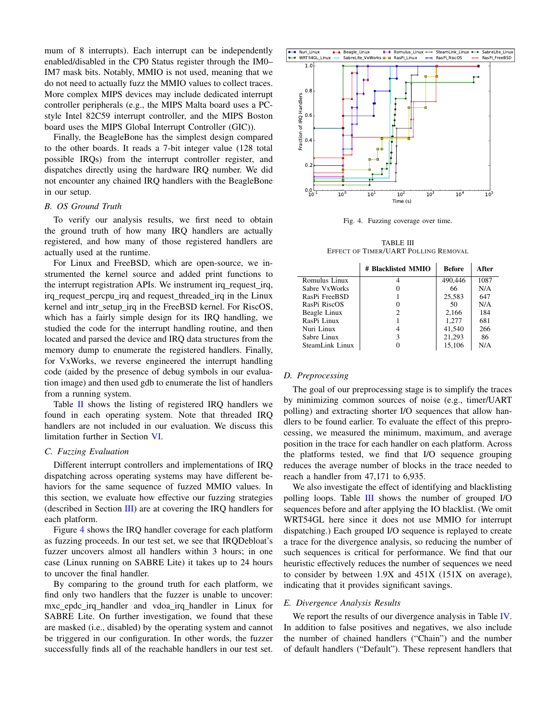mum of 8 interrupts). Each interrupt can be independently enabled/disabled in the CP0 Status register through the IM0– IM7 mask bits. Notably, MMIO is not used, meaning that we do not need to actually fuzz the MMIO values to collect traces. More complex MIPS devices may include dedicated interrupt controller peripherals (e.g., the MIPS Malta board uses a PCstyle Intel 82C59 interrupt controller, and the MIPS Boston board uses the MIPS Global Interrupt Controller (GIC)).

Finally, the BeagleBone has the simplest design compared to the other boards. It reads a 7-bit integer value (128 total possible IRQs) from the interrupt controller register, and dispatches directly using the hardware IRQ number. We did not encounter any chained IRQ handlers with the BeagleBone in our setup.

#### <span id="page-9-0"></span>*B. OS Ground Truth*

To verify our analysis results, we first need to obtain the ground truth of how many IRQ handlers are actually registered, and how many of those registered handlers are actually used at the runtime.

For Linux and FreeBSD, which are open-source, we instrumented the kernel source and added print functions to the interrupt registration APIs. We instrument irq\_request\_irq, irq request percpu irq and request threaded irq in the Linux kernel and intr\_setup\_irq in the FreeBSD kernel. For RiscOS, which has a fairly simple design for its IRQ handling, we studied the code for the interrupt handling routine, and then located and parsed the device and IRQ data structures from the memory dump to enumerate the registered handlers. Finally, for VxWorks, we reverse engineered the interrupt handling code (aided by the presence of debug symbols in our evaluation image) and then used gdb to enumerate the list of handlers from a running system.

Table [II](#page-8-0) shows the listing of registered IRQ handlers we found in each operating system. Note that threaded IRQ handlers are not included in our evaluation. We discuss this limitation further in Section [VI.](#page-11-0)

#### <span id="page-9-4"></span>*C. Fuzzing Evaluation*

Different interrupt controllers and implementations of IRQ dispatching across operating systems may have different behaviors for the same sequence of fuzzed MMIO values. In this section, we evaluate how effective our fuzzing strategies (described in Section [III\)](#page-2-0) are at covering the IRQ handlers for each platform.

Figure [4](#page-9-2) shows the IRQ handler coverage for each platform as fuzzing proceeds. In our test set, we see that IRQDebloat's fuzzer uncovers almost all handlers within 3 hours; in one case (Linux running on SABRE Lite) it takes up to 24 hours to uncover the final handler.

By comparing to the ground truth for each platform, we find only two handlers that the fuzzer is unable to uncover: mxc epdc irq handler and vdoa irq handler in Linux for SABRE Lite. On further investigation, we found that these are masked (i.e., disabled) by the operating system and cannot be triggered in our configuration. In other words, the fuzzer successfully finds all of the reachable handlers in our test set.



<span id="page-9-2"></span>Fig. 4. Fuzzing coverage over time.

TABLE III EFFECT OF TIMER/UART POLLING REMOVAL

<span id="page-9-3"></span>

|                 | # Blacklisted MMIO | <b>Before</b> | After |
|-----------------|--------------------|---------------|-------|
| Romulus Linux   |                    | 490.446       | 1087  |
| Sabre VxWorks   |                    | 66            | N/A   |
| RasPi FreeBSD   |                    | 25,583        | 647   |
| RasPi RiscOS    |                    | 50            | N/A   |
| Beagle Linux    | 2                  | 2,166         | 184   |
| RasPi Linux     |                    | 1,277         | 681   |
| Nuri Linux      |                    | 41,540        | 266   |
| Sabre Linux     | 3                  | 21,293        | 86    |
| SteamLink Linux |                    | 15,106        | N/A   |

### *D. Preprocessing*

The goal of our preprocessing stage is to simplify the traces by minimizing common sources of noise (e.g., timer/UART polling) and extracting shorter I/O sequences that allow handlers to be found earlier. To evaluate the effect of this preprocessing, we measured the minimum, maximum, and average position in the trace for each handler on each platform. Across the platforms tested, we find that I/O sequence grouping reduces the average number of blocks in the trace needed to reach a handler from 47,171 to 6,935.

We also investigate the effect of identifying and blacklisting polling loops. Table [III](#page-9-3) shows the number of grouped I/O sequences before and after applying the IO blacklist. (We omit WRT54GL here since it does not use MMIO for interrupt dispatching.) Each grouped I/O sequence is replayed to create a trace for the divergence analysis, so reducing the number of such sequences is critical for performance. We find that our heuristic effectively reduces the number of sequences we need to consider by between 1.9X and 451X (151X on average), indicating that it provides significant savings.

#### <span id="page-9-1"></span>*E. Divergence Analysis Results*

We report the results of our divergence analysis in Table [IV.](#page-10-0) In addition to false positives and negatives, we also include the number of chained handlers ("Chain") and the number of default handlers ("Default"). These represent handlers that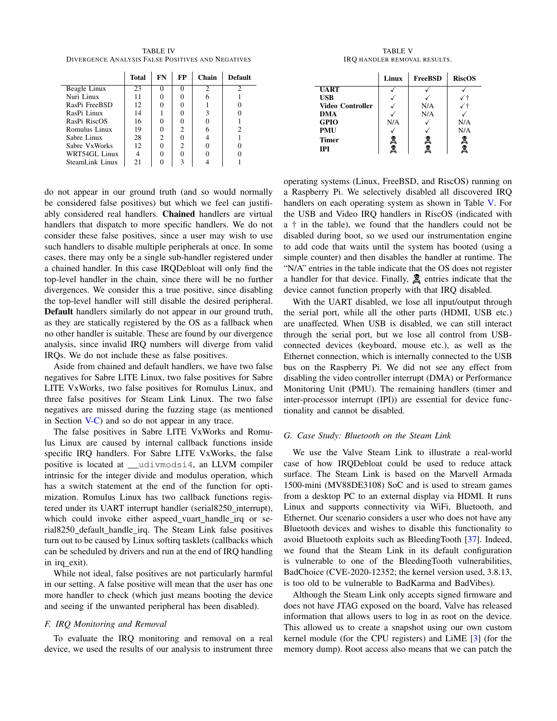<span id="page-10-0"></span>TABLE IV DIVERGENCE ANALYSIS FALSE POSITIVES AND NEGATIVES

|                 | <b>Total</b> | FN | <b>FP</b> | Chain | <b>Default</b> |
|-----------------|--------------|----|-----------|-------|----------------|
| Beagle Linux    | 23           |    |           |       | 2              |
| Nuri Linux      | 11           |    |           |       |                |
| RasPi FreeBSD   | 12           |    |           |       |                |
| RasPi Linux     | 14           |    |           |       |                |
| RasPi RiscOS    | 16           |    |           |       |                |
| Romulus Linux   | 19           |    | 2         |       | っ              |
| Sabre Linux     | 28           | 2  |           |       |                |
| Sabre VxWorks   | 12           |    | 2         |       |                |
| WRT54GL Linux   |              |    |           |       |                |
| SteamLink Linux | 21           |    | ٩         |       |                |

do not appear in our ground truth (and so would normally be considered false positives) but which we feel can justifiably considered real handlers. Chained handlers are virtual handlers that dispatch to more specific handlers. We do not consider these false positives, since a user may wish to use such handlers to disable multiple peripherals at once. In some cases, there may only be a single sub-handler registered under a chained handler. In this case IRQDebloat will only find the top-level handler in the chain, since there will be no further divergences. We consider this a true positive, since disabling the top-level handler will still disable the desired peripheral. Default handlers similarly do not appear in our ground truth, as they are statically registered by the OS as a fallback when no other handler is suitable. These are found by our divergence analysis, since invalid IRQ numbers will diverge from valid IRQs. We do not include these as false positives.

Aside from chained and default handlers, we have two false negatives for Sabre LITE Linux, two false positives for Sabre LITE VxWorks, two false positives for Romulus Linux, and three false positives for Steam Link Linux. The two false negatives are missed during the fuzzing stage (as mentioned in Section [V-C\)](#page-9-4) and so do not appear in any trace.

The false positives in Sabre LITE VxWorks and Romulus Linux are caused by internal callback functions inside specific IRQ handlers. For Sabre LITE VxWorks, the false positive is located at \_\_udivmodsi4, an LLVM compiler intrinsic for the integer divide and modulus operation, which has a switch statement at the end of the function for optimization. Romulus Linux has two callback functions registered under its UART interrupt handler (serial8250\_interrupt), which could invoke either aspeed vuart handle irq or serial8250 default handle irq. The Steam Link false positives turn out to be caused by Linux softirq tasklets (callbacks which can be scheduled by drivers and run at the end of IRQ handling in irq exit).

While not ideal, false positives are not particularly harmful in our setting. A false positive will mean that the user has one more handler to check (which just means booting the device and seeing if the unwanted peripheral has been disabled).

# *F. IRQ Monitoring and Removal*

To evaluate the IRQ monitoring and removal on a real device, we used the results of our analysis to instrument three

TABLE V IRQ HANDLER REMOVAL RESULTS.

<span id="page-10-1"></span>

|                  | Linux  | <b>FreeBSD</b> | <b>RiscOS</b> |
|------------------|--------|----------------|---------------|
| <b>UART</b>      |        |                |               |
| <b>USB</b>       |        |                |               |
| Video Controller |        | N/A            |               |
| <b>DMA</b>       |        | N/A            |               |
| <b>GPIO</b>      | N/A    |                | N/A           |
| <b>PMU</b>       |        |                | N/A           |
| Timer            |        | ₹              |               |
| <b>IPI</b>       | en (en |                | <b>Go</b> yo  |

operating systems (Linux, FreeBSD, and RiscOS) running on a Raspberry Pi. We selectively disabled all discovered IRQ handlers on each operating system as shown in Table [V.](#page-10-1) For the USB and Video IRQ handlers in RiscOS (indicated with a † in the table), we found that the handlers could not be disabled during boot, so we used our instrumentation engine to add code that waits until the system has booted (using a simple counter) and then disables the handler at runtime. The "N/A" entries in the table indicate that the OS does not register a handler for that device. Finally,  $\mathbb{R}$  entries indicate that the device cannot function properly with that IRQ disabled.

With the UART disabled, we lose all input/output through the serial port, while all the other parts (HDMI, USB etc.) are unaffected. When USB is disabled, we can still interact through the serial port, but we lose all control from USBconnected devices (keyboard, mouse etc.), as well as the Ethernet connection, which is internally connected to the USB bus on the Raspberry Pi. We did not see any effect from disabling the video controller interrupt (DMA) or Performance Monitoring Unit (PMU). The remaining handlers (timer and inter-processor interrupt (IPI)) are essential for device functionality and cannot be disabled.

#### *G. Case Study: Bluetooth on the Steam Link*

We use the Valve Steam Link to illustrate a real-world case of how IRQDebloat could be used to reduce attack surface. The Steam Link is based on the Marvell Armada 1500-mini (MV88DE3108) SoC and is used to stream games from a desktop PC to an external display via HDMI. It runs Linux and supports connectivity via WiFi, Bluetooth, and Ethernet. Our scenario considers a user who does not have any Bluetooth devices and wishes to disable this functionality to avoid Bluetooth exploits such as BleedingTooth [\[37\]](#page-13-16). Indeed, we found that the Steam Link in its default configuration is vulnerable to one of the BleedingTooth vulnerabilities, BadChoice (CVE-2020-12352; the kernel version used, 3.8.13, is too old to be vulnerable to BadKarma and BadVibes).

Although the Steam Link only accepts signed firmware and does not have JTAG exposed on the board, Valve has released information that allows users to log in as root on the device. This allowed us to create a snapshot using our own custom kernel module (for the CPU registers) and LiME [\[3\]](#page-13-14) (for the memory dump). Root access also means that we can patch the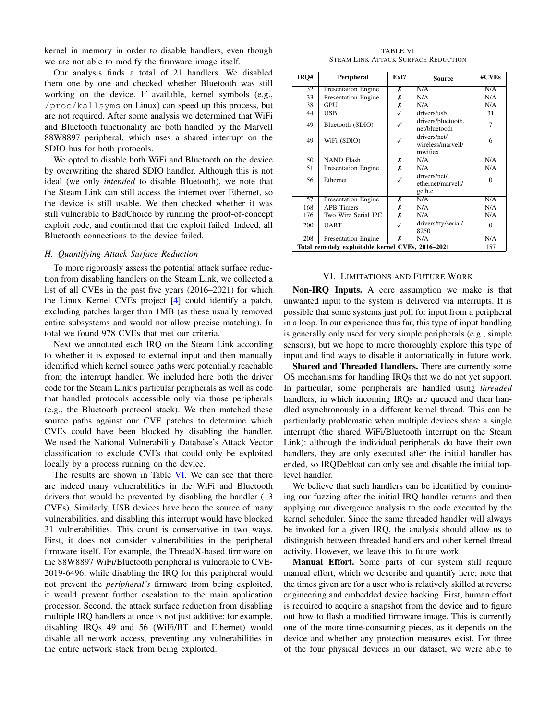kernel in memory in order to disable handlers, even though we are not able to modify the firmware image itself.

Our analysis finds a total of 21 handlers. We disabled them one by one and checked whether Bluetooth was still working on the device. If available, kernel symbols (e.g., /proc/kallsyms on Linux) can speed up this process, but are not required. After some analysis we determined that WiFi and Bluetooth functionality are both handled by the Marvell 88W8897 peripheral, which uses a shared interrupt on the SDIO bus for both protocols.

We opted to disable both WiFi and Bluetooth on the device by overwriting the shared SDIO handler. Although this is not ideal (we only *intended* to disable Bluetooth), we note that the Steam Link can still access the internet over Ethernet, so the device is still usable. We then checked whether it was still vulnerable to BadChoice by running the proof-of-concept exploit code, and confirmed that the exploit failed. Indeed, all Bluetooth connections to the device failed.

# *H. Quantifying Attack Surface Reduction*

To more rigorously assess the potential attack surface reduction from disabling handlers on the Steam Link, we collected a list of all CVEs in the past five years (2016–2021) for which the Linux Kernel CVEs project [\[4\]](#page-13-17) could identify a patch, excluding patches larger than 1MB (as these usually removed entire subsystems and would not allow precise matching). In total we found 978 CVEs that met our criteria.

Next we annotated each IRQ on the Steam Link according to whether it is exposed to external input and then manually identified which kernel source paths were potentially reachable from the interrupt handler. We included here both the driver code for the Steam Link's particular peripherals as well as code that handled protocols accessible only via those peripherals (e.g., the Bluetooth protocol stack). We then matched these source paths against our CVE patches to determine which CVEs could have been blocked by disabling the handler. We used the National Vulnerability Database's Attack Vector classification to exclude CVEs that could only be exploited locally by a process running on the device.

The results are shown in Table [VI.](#page-11-1) We can see that there are indeed many vulnerabilities in the WiFi and Bluetooth drivers that would be prevented by disabling the handler (13 CVEs). Similarly, USB devices have been the source of many vulnerabilities, and disabling this interrupt would have blocked 31 vulnerabilities. This count is conservative in two ways. First, it does not consider vulnerabilities in the peripheral firmware itself. For example, the ThreadX-based firmware on the 88W8897 WiFi/Bluetooth peripheral is vulnerable to CVE-2019-6496; while disabling the IRQ for this peripheral would not prevent the *peripheral's* firmware from being exploited, it would prevent further escalation to the main application processor. Second, the attack surface reduction from disabling multiple IRQ handlers at once is not just additive: for example, disabling IRQs 49 and 56 (WiFi/BT and Ethernet) would disable all network access, preventing any vulnerabilities in the entire network stack from being exploited.

TABLE VI STEAM LINK ATTACK SURFACE REDUCTION

<span id="page-11-1"></span>

| IRQ#                                              | Peripheral                 | Ext?                    | <b>Source</b>                                | #CVEs    |  |
|---------------------------------------------------|----------------------------|-------------------------|----------------------------------------------|----------|--|
| $\overline{32}$                                   | <b>Presentation Engine</b> | х                       | N/A                                          | N/A      |  |
| 33                                                | <b>Presentation Engine</b> | Х                       | N/A                                          | N/A      |  |
| 38                                                | GPU                        | х                       | N/A                                          | N/A      |  |
| 44                                                | $\overline{\text{USB}}$    | ✓                       | drivers/usb                                  | 31       |  |
| 49                                                | Bluetooth (SDIO)           |                         | drivers/bluetooth.<br>net/bluetooth          | 7        |  |
| 49                                                | WiFi (SDIO)                |                         | drivers/net/<br>wireless/marvell/<br>mwifiex | 6        |  |
| 50                                                | <b>NAND Flash</b>          | х                       | N/A                                          | N/A      |  |
| 51                                                | <b>Presentation Engine</b> | х                       | N/A                                          | N/A      |  |
| 56                                                | Ethernet                   | ✓                       | drivers/net/<br>ethernet/marvell/<br>geth.c  | $\Omega$ |  |
| 57                                                | Presentation Engine        | х                       | N/A                                          | N/A      |  |
| 168                                               | <b>APB</b> Timers          | х                       | N/A                                          | N/A      |  |
| 176                                               | Two Wire Serial I2C        | $\overline{\mathsf{x}}$ | N/A                                          | N/A      |  |
| 200                                               | UART                       | ✓                       | drivers/tty/serial/<br>8250                  | $\theta$ |  |
| 208                                               | <b>Presentation Engine</b> | х                       | N/A                                          | N/A      |  |
| Total remotely exploitable kernel CVEs, 2016-2021 |                            |                         |                                              |          |  |

#### VI. LIMITATIONS AND FUTURE WORK

<span id="page-11-0"></span>Non-IRQ Inputs. A core assumption we make is that unwanted input to the system is delivered via interrupts. It is possible that some systems just poll for input from a peripheral in a loop. In our experience thus far, this type of input handling is generally only used for very simple peripherals (e.g., simple sensors), but we hope to more thoroughly explore this type of input and find ways to disable it automatically in future work.

Shared and Threaded Handlers. There are currently some OS mechanisms for handling IRQs that we do not yet support. In particular, some peripherals are handled using *threaded* handlers, in which incoming IRQs are queued and then handled asynchronously in a different kernel thread. This can be particularly problematic when multiple devices share a single interrupt (the shared WiFi/Bluetooth interrupt on the Steam Link): although the individual peripherals do have their own handlers, they are only executed after the initial handler has ended, so IRQDebloat can only see and disable the initial toplevel handler.

We believe that such handlers can be identified by continuing our fuzzing after the initial IRQ handler returns and then applying our divergence analysis to the code executed by the kernel scheduler. Since the same threaded handler will always be invoked for a given IRQ, the analysis should allow us to distinguish between threaded handlers and other kernel thread activity. However, we leave this to future work.

Manual Effort. Some parts of our system still require manual effort, which we describe and quantify here; note that the times given are for a user who is relatively skilled at reverse engineering and embedded device hacking. First, human effort is required to acquire a snapshot from the device and to figure out how to flash a modified firmware image. This is currently one of the more time-consuming pieces, as it depends on the device and whether any protection measures exist. For three of the four physical devices in our dataset, we were able to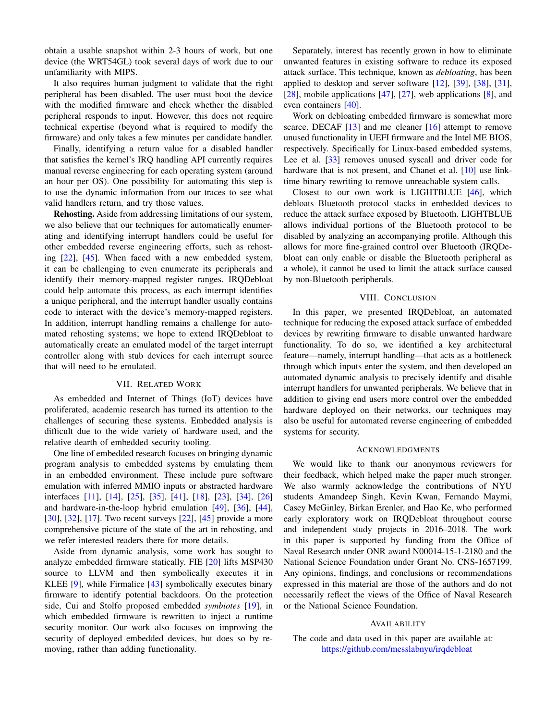obtain a usable snapshot within 2-3 hours of work, but one device (the WRT54GL) took several days of work due to our unfamiliarity with MIPS.

It also requires human judgment to validate that the right peripheral has been disabled. The user must boot the device with the modified firmware and check whether the disabled peripheral responds to input. However, this does not require technical expertise (beyond what is required to modify the firmware) and only takes a few minutes per candidate handler.

Finally, identifying a return value for a disabled handler that satisfies the kernel's IRQ handling API currently requires manual reverse engineering for each operating system (around an hour per OS). One possibility for automating this step is to use the dynamic information from our traces to see what valid handlers return, and try those values.

Rehosting. Aside from addressing limitations of our system, we also believe that our techniques for automatically enumerating and identifying interrupt handlers could be useful for other embedded reverse engineering efforts, such as rehosting [\[22\]](#page-13-8), [\[45\]](#page-14-5). When faced with a new embedded system, it can be challenging to even enumerate its peripherals and identify their memory-mapped register ranges. IRQDebloat could help automate this process, as each interrupt identifies a unique peripheral, and the interrupt handler usually contains code to interact with the device's memory-mapped registers. In addition, interrupt handling remains a challenge for automated rehosting systems; we hope to extend IRQDebloat to automatically create an emulated model of the target interrupt controller along with stub devices for each interrupt source that will need to be emulated.

### VII. RELATED WORK

As embedded and Internet of Things (IoT) devices have proliferated, academic research has turned its attention to the challenges of securing these systems. Embedded analysis is difficult due to the wide variety of hardware used, and the relative dearth of embedded security tooling.

One line of embedded research focuses on bringing dynamic program analysis to embedded systems by emulating them in an embedded environment. These include pure software emulation with inferred MMIO inputs or abstracted hardware interfaces [\[11\]](#page-13-18), [\[14\]](#page-13-19), [\[25\]](#page-13-20), [\[35\]](#page-13-21), [\[41\]](#page-13-22), [\[18\]](#page-13-23), [\[23\]](#page-13-24), [\[34\]](#page-13-25), [\[26\]](#page-13-26) and hardware-in-the-loop hybrid emulation [\[49\]](#page-14-2), [\[36\]](#page-13-27), [\[44\]](#page-14-6), [\[30\]](#page-13-28), [\[32\]](#page-13-29), [\[17\]](#page-13-30). Two recent surveys [\[22\]](#page-13-8), [\[45\]](#page-14-5) provide a more comprehensive picture of the state of the art in rehosting, and we refer interested readers there for more details.

Aside from dynamic analysis, some work has sought to analyze embedded firmware statically. FIE [\[20\]](#page-13-31) lifts MSP430 source to LLVM and then symbolically executes it in KLEE [\[9\]](#page-13-32), while Firmalice [\[43\]](#page-14-7) symbolically executes binary firmware to identify potential backdoors. On the protection side, Cui and Stolfo proposed embedded *symbiotes* [\[19\]](#page-13-33), in which embedded firmware is rewritten to inject a runtime security monitor. Our work also focuses on improving the security of deployed embedded devices, but does so by removing, rather than adding functionality.

Separately, interest has recently grown in how to eliminate unwanted features in existing software to reduce its exposed attack surface. This technique, known as *debloating*, has been applied to desktop and server software  $[12]$ ,  $[39]$ ,  $[38]$ ,  $[31]$ , [\[28\]](#page-13-36), mobile applications [\[47\]](#page-14-0), [\[27\]](#page-13-4), web applications [\[8\]](#page-13-5), and even containers [\[40\]](#page-13-37).

Work on debloating embedded firmware is somewhat more scarce. DECAF  $[13]$  and me cleaner  $[16]$  attempt to remove unused functionality in UEFI firmware and the Intel ME BIOS, respectively. Specifically for Linux-based embedded systems, Lee et al. [\[33\]](#page-13-40) removes unused syscall and driver code for hardware that is not present, and Chanet et al. [\[10\]](#page-13-41) use linktime binary rewriting to remove unreachable system calls.

Closest to our own work is LIGHTBLUE [\[46\]](#page-14-8), which debloats Bluetooth protocol stacks in embedded devices to reduce the attack surface exposed by Bluetooth. LIGHTBLUE allows individual portions of the Bluetooth protocol to be disabled by analyzing an accompanying profile. Although this allows for more fine-grained control over Bluetooth (IRQDebloat can only enable or disable the Bluetooth peripheral as a whole), it cannot be used to limit the attack surface caused by non-Bluetooth peripherals.

#### VIII. CONCLUSION

In this paper, we presented IRQDebloat, an automated technique for reducing the exposed attack surface of embedded devices by rewriting firmware to disable unwanted hardware functionality. To do so, we identified a key architectural feature—namely, interrupt handling—that acts as a bottleneck through which inputs enter the system, and then developed an automated dynamic analysis to precisely identify and disable interrupt handlers for unwanted peripherals. We believe that in addition to giving end users more control over the embedded hardware deployed on their networks, our techniques may also be useful for automated reverse engineering of embedded systems for security.

#### ACKNOWLEDGMENTS

We would like to thank our anonymous reviewers for their feedback, which helped make the paper much stronger. We also warmly acknowledge the contributions of NYU students Amandeep Singh, Kevin Kwan, Fernando Maymi, Casey McGinley, Birkan Erenler, and Hao Ke, who performed early exploratory work on IRQDebloat throughout course and independent study projects in 2016–2018. The work in this paper is supported by funding from the Office of Naval Research under ONR award N00014-15-1-2180 and the National Science Foundation under Grant No. CNS-1657199. Any opinions, findings, and conclusions or recommendations expressed in this material are those of the authors and do not necessarily reflect the views of the Office of Naval Research or the National Science Foundation.

#### AVAILABILITY

The code and data used in this paper are available at: <https://github.com/messlabnyu/irqdebloat>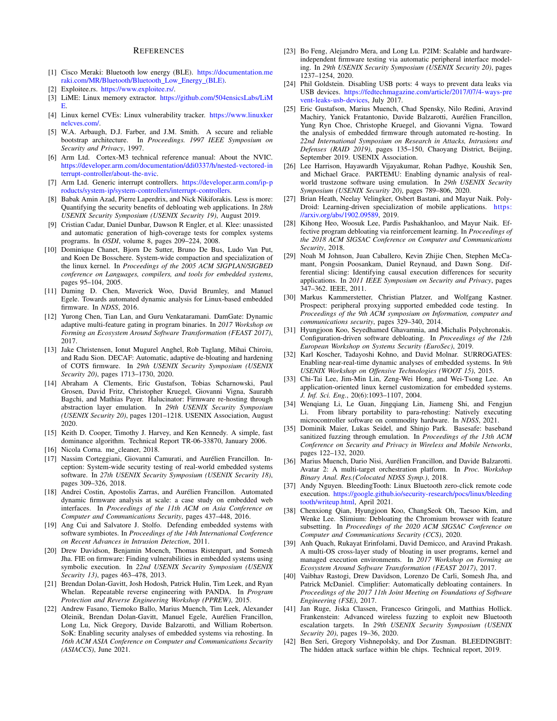#### **REFERENCES**

- <span id="page-13-0"></span>[1] Cisco Meraki: Bluetooth low energy (BLE). [https://documentation.me](https://documentation.meraki.com/MR/Bluetooth/Bluetooth_Low_Energy_(BLE)) [raki.com/MR/Bluetooth/Bluetooth](https://documentation.meraki.com/MR/Bluetooth/Bluetooth_Low_Energy_(BLE))\_Low\_Energy\_(BLE).
- <span id="page-13-10"></span>[2] Exploitee.rs. [https://www.exploitee.rs/.](https://www.exploitee.rs/)
- <span id="page-13-14"></span>[3] LiME: Linux memory extractor. [https://github.com/504ensicsLabs/LiM](https://github.com/504ensicsLabs/LiME) [E.](https://github.com/504ensicsLabs/LiME)
- <span id="page-13-17"></span>[4] Linux kernel CVEs: Linux vulnerability tracker. [https://www.linuxker](https://www.linuxkernelcves.com/) [nelcves.com/.](https://www.linuxkernelcves.com/)
- <span id="page-13-9"></span>[5] W.A. Arbaugh, D.J. Farber, and J.M. Smith. A secure and reliable bootstrap architecture. In *Proceedings. 1997 IEEE Symposium on Security and Privacy*, 1997.
- <span id="page-13-13"></span>[6] Arm Ltd. Cortex-M3 technical reference manual: About the NVIC. [https://developer.arm.com/documentation/ddi0337/h/nested-vectored-in](https://developer.arm.com/documentation/ddi0337/h/nested-vectored-interrupt-controller/about-the-nvic) [terrupt-controller/about-the-nvic.](https://developer.arm.com/documentation/ddi0337/h/nested-vectored-interrupt-controller/about-the-nvic)
- <span id="page-13-12"></span>[7] Arm Ltd. Generic interrupt controllers. [https://developer.arm.com/ip-p](https://developer.arm.com/ip-products/system-ip/system-controllers/interrupt-controllers) [roducts/system-ip/system-controllers/interrupt-controllers.](https://developer.arm.com/ip-products/system-ip/system-controllers/interrupt-controllers)
- <span id="page-13-5"></span>[8] Babak Amin Azad, Pierre Laperdrix, and Nick Nikiforakis. Less is more: Quantifying the security benefits of debloating web applications. In *28th USENIX Security Symposium (USENIX Security 19)*, August 2019.
- <span id="page-13-32"></span>[9] Cristian Cadar, Daniel Dunbar, Dawson R Engler, et al. Klee: unassisted and automatic generation of high-coverage tests for complex systems programs. In *OSDI*, volume 8, pages 209–224, 2008.
- <span id="page-13-41"></span>[10] Dominique Chanet, Bjorn De Sutter, Bruno De Bus, Ludo Van Put, and Koen De Bosschere. System-wide compaction and specialization of the linux kernel. In *Proceedings of the 2005 ACM SIGPLAN/SIGBED conference on Languages, compilers, and tools for embedded systems*, pages 95–104, 2005.
- <span id="page-13-18"></span>[11] Daming D. Chen, Maverick Woo, David Brumley, and Manuel Egele. Towards automated dynamic analysis for Linux-based embedded firmware. In *NDSS*, 2016.
- <span id="page-13-34"></span>[12] Yurong Chen, Tian Lan, and Guru Venkataramani. DamGate: Dynamic adaptive multi-feature gating in program binaries. In *2017 Workshop on Forming an Ecosystem Around Software Transformation (FEAST 2017)*, 2017.
- <span id="page-13-38"></span>[13] Jake Christensen, Ionut Mugurel Anghel, Rob Taglang, Mihai Chiroiu, and Radu Sion. DECAF: Automatic, adaptive de-bloating and hardening of COTS firmware. In *29th USENIX Security Symposium (USENIX Security 20)*, pages 1713–1730, 2020.
- <span id="page-13-19"></span>[14] Abraham A Clements, Eric Gustafson, Tobias Scharnowski, Paul Grosen, David Fritz, Christopher Kruegel, Giovanni Vigna, Saurabh Bagchi, and Mathias Payer. Halucinator: Firmware re-hosting through abstraction layer emulation. In *29th USENIX Security Symposium (USENIX Security 20)*, pages 1201–1218. USENIX Association, August 2020.
- <span id="page-13-15"></span>[15] Keith D. Cooper, Timothy J. Harvey, and Ken Kennedy. A simple, fast dominance algorithm. Technical Report TR-06-33870, January 2006.
- <span id="page-13-39"></span>[16] Nicola Corna. me cleaner, 2018.
- <span id="page-13-30"></span>[17] Nassim Corteggiani, Giovanni Camurati, and Aurélien Francillon. Inception: System-wide security testing of real-world embedded systems software. In *27th USENIX Security Symposium (USENIX Security 18)*, pages 309–326, 2018.
- <span id="page-13-23"></span>[18] Andrei Costin, Apostolis Zarras, and Aurélien Francillon. Automated dynamic firmware analysis at scale: a case study on embedded web interfaces. In *Proceedings of the 11th ACM on Asia Conference on Computer and Communications Security*, pages 437–448, 2016.
- <span id="page-13-33"></span>[19] Ang Cui and Salvatore J. Stolfo. Defending embedded systems with software symbiotes. In *Proceedings of the 14th International Conference on Recent Advances in Intrusion Detection*, 2011.
- <span id="page-13-31"></span>[20] Drew Davidson, Benjamin Moench, Thomas Ristenpart, and Somesh Jha. FIE on firmware: Finding vulnerabilities in embedded systems using symbolic execution. In *22nd USENIX Security Symposium (USENIX Security 13)*, pages 463–478, 2013.
- <span id="page-13-11"></span>[21] Brendan Dolan-Gavitt, Josh Hodosh, Patrick Hulin, Tim Leek, and Ryan Whelan. Repeatable reverse engineering with PANDA. In *Program Protection and Reverse Engineering Workshop (PPREW)*, 2015.
- <span id="page-13-8"></span>[22] Andrew Fasano, Tiemoko Ballo, Marius Muench, Tim Leek, Alexander Oleinik, Brendan Dolan-Gavitt, Manuel Egele, Aurélien Francillon, Long Lu, Nick Gregory, Davide Balzarotti, and William Robertson. SoK: Enabling security analyses of embedded systems via rehosting. In *16th ACM ASIA Conference on Computer and Communications Security (ASIACCS)*, June 2021.
- <span id="page-13-24"></span>[23] Bo Feng, Alejandro Mera, and Long Lu. P2IM: Scalable and hardwareindependent firmware testing via automatic peripheral interface modeling. In *29th USENIX Security Symposium (USENIX Security 20)*, pages 1237–1254, 2020.
- <span id="page-13-6"></span>[24] Phil Goldstein. Disabling USB ports: 4 ways to prevent data leaks via USB devices. [https://fedtechmagazine.com/article/2017/07/4-ways-pre](https://fedtechmagazine.com/article/2017/07/4-ways-prevent-leaks-usb-devices) [vent-leaks-usb-devices,](https://fedtechmagazine.com/article/2017/07/4-ways-prevent-leaks-usb-devices) July 2017.
- <span id="page-13-20"></span>[25] Eric Gustafson, Marius Muench, Chad Spensky, Nilo Redini, Aravind Machiry, Yanick Fratantonio, Davide Balzarotti, Aurélien Francillon, Yung Ryn Choe, Christophe Kruegel, and Giovanni Vigna. Toward the analysis of embedded firmware through automated re-hosting. In *22nd International Symposium on Research in Attacks, Intrusions and Defenses (RAID 2019)*, pages 135–150, Chaoyang District, Beijing, September 2019. USENIX Association.
- <span id="page-13-26"></span>[26] Lee Harrison, Hayawardh Vijayakumar, Rohan Padhye, Koushik Sen, and Michael Grace. PARTEMU: Enabling dynamic analysis of realworld trustzone software using emulation. In *29th USENIX Security Symposium (USENIX Security 20)*, pages 789–806, 2020.
- <span id="page-13-4"></span>[27] Brian Heath, Neelay Velingker, Osbert Bastani, and Mayur Naik. Poly-Droid: Learning-driven specialization of mobile applications. [https:](https://arxiv.org/abs/1902.09589) [//arxiv.org/abs/1902.09589,](https://arxiv.org/abs/1902.09589) 2019.
- <span id="page-13-36"></span>[28] Kihong Heo, Woosuk Lee, Pardis Pashakhanloo, and Mayur Naik. Effective program debloating via reinforcement learning. In *Proceedings of the 2018 ACM SIGSAC Conference on Computer and Communications Security*, 2018.
- <span id="page-13-7"></span>[29] Noah M Johnson, Juan Caballero, Kevin Zhijie Chen, Stephen McCamant, Pongsin Poosankam, Daniel Reynaud, and Dawn Song. Differential slicing: Identifying causal execution differences for security applications. In *2011 IEEE Symposium on Security and Privacy*, pages 347–362. IEEE, 2011.
- <span id="page-13-28"></span>[30] Markus Kammerstetter, Christian Platzer, and Wolfgang Kastner. Prospect: peripheral proxying supported embedded code testing. In *Proceedings of the 9th ACM symposium on Information, computer and communications security*, pages 329–340, 2014.
- <span id="page-13-3"></span>[31] Hyungjoon Koo, Seyedhamed Ghavamnia, and Michalis Polychronakis. Configuration-driven software debloating. In *Proceedings of the 12th European Workshop on Systems Security (EuroSec)*, 2019.
- <span id="page-13-29"></span>[32] Karl Koscher, Tadayoshi Kohno, and David Molnar. SURROGATES: Enabling near-real-time dynamic analyses of embedded systems. In *9th USENIX Workshop on Offensive Technologies (WOOT 15)*, 2015.
- <span id="page-13-40"></span>[33] Chi-Tai Lee, Jim-Min Lin, Zeng-Wei Hong, and Wei-Tsong Lee. An application-oriented linux kernel customization for embedded systems. *J. Inf. Sci. Eng.*, 20(6):1093–1107, 2004.
- <span id="page-13-25"></span>[34] Wenqiang Li, Le Guan, Jingqiang Lin, Jiameng Shi, and Fengjun Li. From library portability to para-rehosting: Natively executing microcontroller software on commodity hardware. In *NDSS*, 2021.
- <span id="page-13-21"></span>[35] Dominik Maier, Lukas Seidel, and Shinjo Park. Basesafe: baseband sanitized fuzzing through emulation. In *Proceedings of the 13th ACM Conference on Security and Privacy in Wireless and Mobile Networks*, pages 122–132, 2020.
- <span id="page-13-27"></span>[36] Marius Muench, Dario Nisi, Aurélien Francillon, and Davide Balzarotti. Avatar 2: A multi-target orchestration platform. In *Proc. Workshop Binary Anal. Res.(Colocated NDSS Symp.)*, 2018.
- <span id="page-13-16"></span>[37] Andy Nguyen. BleedingTooth: Linux Bluetooth zero-click remote code execution. [https://google.github.io/security-research/pocs/linux/bleeding](https://google.github.io/security-research/pocs/linux/bleedingtooth/writeup.html) [tooth/writeup.html,](https://google.github.io/security-research/pocs/linux/bleedingtooth/writeup.html) April 2021.
- <span id="page-13-2"></span>[38] Chenxiong Qian, Hyungjoon Koo, ChangSeok Oh, Taesoo Kim, and Wenke Lee. Slimium: Debloating the Chromium browser with feature subsetting. In *Proceedings of the 2020 ACM SIGSAC Conference on Computer and Communications Security (CCS)*, 2020.
- <span id="page-13-35"></span>[39] Anh Quach, Rukayat Erinfolami, David Demicco, and Aravind Prakash. A multi-OS cross-layer study of bloating in user programs, kernel and managed execution environments. In *2017 Workshop on Forming an Ecosystem Around Software Transformation (FEAST 2017)*, 2017.
- <span id="page-13-37"></span>[40] Vaibhav Rastogi, Drew Davidson, Lorenzo De Carli, Somesh Jha, and Patrick McDaniel. Cimplifier: Automatically debloating containers. In *Proceedings of the 2017 11th Joint Meeting on Foundations of Software Engineering (FSE)*, 2017.
- <span id="page-13-22"></span>[41] Jan Ruge, Jiska Classen, Francesco Gringoli, and Matthias Hollick. Frankenstein: Advanced wireless fuzzing to exploit new Bluetooth escalation targets. In *29th USENIX Security Symposium (USENIX Security 20)*, pages 19–36, 2020.
- <span id="page-13-1"></span>[42] Ben Seri, Gregory Vishnepolsky, and Dor Zusman. BLEEDINGBIT: The hidden attack surface within ble chips. Technical report, 2019.